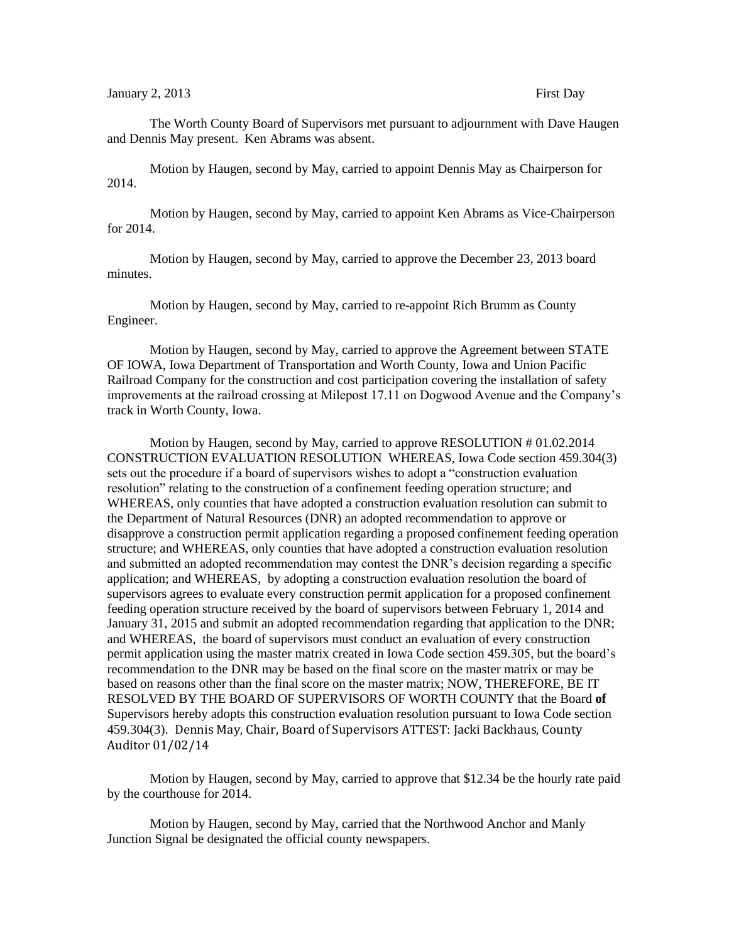## January 2, 2013 **First Day**

The Worth County Board of Supervisors met pursuant to adjournment with Dave Haugen and Dennis May present. Ken Abrams was absent.

Motion by Haugen, second by May, carried to appoint Dennis May as Chairperson for 2014.

Motion by Haugen, second by May, carried to appoint Ken Abrams as Vice-Chairperson for 2014.

Motion by Haugen, second by May, carried to approve the December 23, 2013 board minutes.

Motion by Haugen, second by May, carried to re-appoint Rich Brumm as County Engineer.

Motion by Haugen, second by May, carried to approve the Agreement between STATE OF IOWA, Iowa Department of Transportation and Worth County, Iowa and Union Pacific Railroad Company for the construction and cost participation covering the installation of safety improvements at the railroad crossing at Milepost 17.11 on Dogwood Avenue and the Company's track in Worth County, Iowa.

Motion by Haugen, second by May, carried to approve RESOLUTION # 01.02.2014 CONSTRUCTION EVALUATION RESOLUTION WHEREAS, Iowa Code section 459.304(3) sets out the procedure if a board of supervisors wishes to adopt a "construction evaluation resolution" relating to the construction of a confinement feeding operation structure; and WHEREAS, only counties that have adopted a construction evaluation resolution can submit to the Department of Natural Resources (DNR) an adopted recommendation to approve or disapprove a construction permit application regarding a proposed confinement feeding operation structure; and WHEREAS, only counties that have adopted a construction evaluation resolution and submitted an adopted recommendation may contest the DNR's decision regarding a specific application; and WHEREAS, by adopting a construction evaluation resolution the board of supervisors agrees to evaluate every construction permit application for a proposed confinement feeding operation structure received by the board of supervisors between February 1, 2014 and January 31, 2015 and submit an adopted recommendation regarding that application to the DNR; and WHEREAS, the board of supervisors must conduct an evaluation of every construction permit application using the master matrix created in Iowa Code section 459.305, but the board's recommendation to the DNR may be based on the final score on the master matrix or may be based on reasons other than the final score on the master matrix; NOW, THEREFORE, BE IT RESOLVED BY THE BOARD OF SUPERVISORS OF WORTH COUNTY that the Board **of**  Supervisors hereby adopts this construction evaluation resolution pursuant to Iowa Code section 459.304(3). Dennis May, Chair, Board of Supervisors ATTEST: Jacki Backhaus, County Auditor 01/02/14

Motion by Haugen, second by May, carried to approve that \$12.34 be the hourly rate paid by the courthouse for 2014.

Motion by Haugen, second by May, carried that the Northwood Anchor and Manly Junction Signal be designated the official county newspapers.